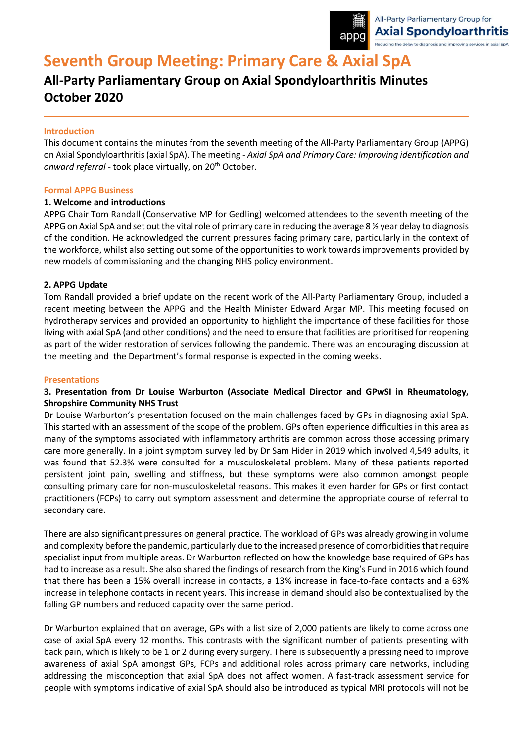

# **Seventh Group Meeting: Primary Care & Axial SpA**

## **All-Party Parliamentary Group on Axial Spondyloarthritis Minutes October 2020**

## **Introduction**

This document contains the minutes from the seventh meeting of the All-Party Parliamentary Group (APPG) on Axial Spondyloarthritis (axial SpA). The meeting - *Axial SpA and Primary Care: Improving identification and*  onward referral - took place virtually, on 20<sup>th</sup> October.

### **Formal APPG Business**

### **1. Welcome and introductions**

APPG Chair Tom Randall (Conservative MP for Gedling) welcomed attendees to the seventh meeting of the APPG on Axial SpA and set out the vital role of primary care in reducing the average 8 % year delay to diagnosis of the condition. He acknowledged the current pressures facing primary care, particularly in the context of the workforce, whilst also setting out some of the opportunities to work towardsimprovements provided by new models of commissioning and the changing NHS policy environment.

## **2. APPG Update**

Tom Randall provided a brief update on the recent work of the All-Party Parliamentary Group, included a recent meeting between the APPG and the Health Minister Edward Argar MP. This meeting focused on hydrotherapy services and provided an opportunity to highlight the importance of these facilities for those living with axial SpA (and other conditions) and the need to ensure that facilities are prioritised for reopening as part of the wider restoration of services following the pandemic. There was an encouraging discussion at the meeting and the Department's formal response is expected in the coming weeks.

### **Presentations**

## **3. Presentation from Dr Louise Warburton (Associate Medical Director and GPwSI in Rheumatology, Shropshire Community NHS Trust**

Dr Louise Warburton's presentation focused on the main challenges faced by GPs in diagnosing axial SpA. This started with an assessment of the scope of the problem. GPs often experience difficulties in this area as many of the symptoms associated with inflammatory arthritis are common across those accessing primary care more generally. In a joint symptom survey led by Dr Sam Hider in 2019 which involved 4,549 adults, it was found that 52.3% were consulted for a musculoskeletal problem. Many of these patients reported persistent joint pain, swelling and stiffness, but these symptoms were also common amongst people consulting primary care for non-musculoskeletal reasons. This makes it even harder for GPs or first contact practitioners (FCPs) to carry out symptom assessment and determine the appropriate course of referral to secondary care.

There are also significant pressures on general practice. The workload of GPs was already growing in volume and complexity before the pandemic, particularly due to the increased presence of comorbidities that require specialist input from multiple areas. Dr Warburton reflected on how the knowledge base required of GPs has had to increase as a result. She also shared the findings of research from the King's Fund in 2016 which found that there has been a 15% overall increase in contacts, a 13% increase in face-to-face contacts and a 63% increase in telephone contacts in recent years. This increase in demand should also be contextualised by the falling GP numbers and reduced capacity over the same period.

Dr Warburton explained that on average, GPs with a list size of 2,000 patients are likely to come across one case of axial SpA every 12 months. This contrasts with the significant number of patients presenting with back pain, which is likely to be 1 or 2 during every surgery. There is subsequently a pressing need to improve awareness of axial SpA amongst GPs, FCPs and additional roles across primary care networks, including addressing the misconception that axial SpA does not affect women. A fast-track assessment service for people with symptoms indicative of axial SpA should also be introduced as typical MRI protocols will not be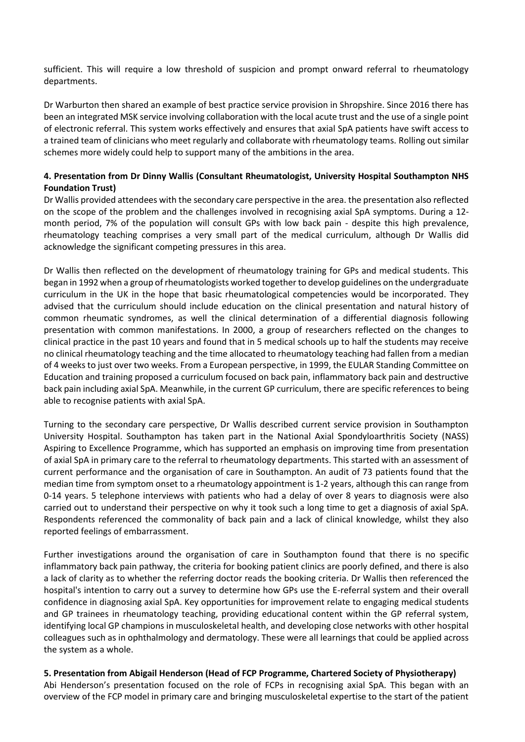sufficient. This will require a low threshold of suspicion and prompt onward referral to rheumatology departments.

Dr Warburton then shared an example of best practice service provision in Shropshire. Since 2016 there has been an integrated MSK service involving collaboration with the local acute trust and the use of a single point of electronic referral. This system works effectively and ensures that axial SpA patients have swift access to a trained team of clinicians who meet regularly and collaborate with rheumatology teams. Rolling out similar schemes more widely could help to support many of the ambitions in the area.

## **4. Presentation from Dr Dinny Wallis (Consultant Rheumatologist, University Hospital Southampton NHS Foundation Trust)**

Dr Wallis provided attendees with the secondary care perspective in the area. the presentation also reflected on the scope of the problem and the challenges involved in recognising axial SpA symptoms. During a 12 month period, 7% of the population will consult GPs with low back pain - despite this high prevalence, rheumatology teaching comprises a very small part of the medical curriculum, although Dr Wallis did acknowledge the significant competing pressures in this area.

Dr Wallis then reflected on the development of rheumatology training for GPs and medical students. This began in 1992 when a group of rheumatologists worked together to develop guidelines on the undergraduate curriculum in the UK in the hope that basic rheumatological competencies would be incorporated. They advised that the curriculum should include education on the clinical presentation and natural history of common rheumatic syndromes, as well the clinical determination of a differential diagnosis following presentation with common manifestations. In 2000, a group of researchers reflected on the changes to clinical practice in the past 10 years and found that in 5 medical schools up to half the students may receive no clinical rheumatology teaching and the time allocated to rheumatology teaching had fallen from a median of 4 weeks to just over two weeks. From a European perspective, in 1999, the EULAR Standing Committee on Education and training proposed a curriculum focused on back pain, inflammatory back pain and destructive back pain including axial SpA. Meanwhile, in the current GP curriculum, there are specific references to being able to recognise patients with axial SpA.

Turning to the secondary care perspective, Dr Wallis described current service provision in Southampton University Hospital. Southampton has taken part in the National Axial Spondyloarthritis Society (NASS) Aspiring to Excellence Programme, which has supported an emphasis on improving time from presentation of axial SpA in primary care to the referral to rheumatology departments. This started with an assessment of current performance and the organisation of care in Southampton. An audit of 73 patients found that the median time from symptom onset to a rheumatology appointment is 1-2 years, although this can range from 0-14 years. 5 telephone interviews with patients who had a delay of over 8 years to diagnosis were also carried out to understand their perspective on why it took such a long time to get a diagnosis of axial SpA. Respondents referenced the commonality of back pain and a lack of clinical knowledge, whilst they also reported feelings of embarrassment.

Further investigations around the organisation of care in Southampton found that there is no specific inflammatory back pain pathway, the criteria for booking patient clinics are poorly defined, and there is also a lack of clarity as to whether the referring doctor reads the booking criteria. Dr Wallis then referenced the hospital's intention to carry out a survey to determine how GPs use the E-referral system and their overall confidence in diagnosing axial SpA. Key opportunities for improvement relate to engaging medical students and GP trainees in rheumatology teaching, providing educational content within the GP referral system, identifying local GP champions in musculoskeletal health, and developing close networks with other hospital colleagues such as in ophthalmology and dermatology. These were all learnings that could be applied across the system as a whole.

## **5. Presentation from Abigail Henderson (Head of FCP Programme, Chartered Society of Physiotherapy)**

Abi Henderson's presentation focused on the role of FCPs in recognising axial SpA. This began with an overview of the FCP model in primary care and bringing musculoskeletal expertise to the start of the patient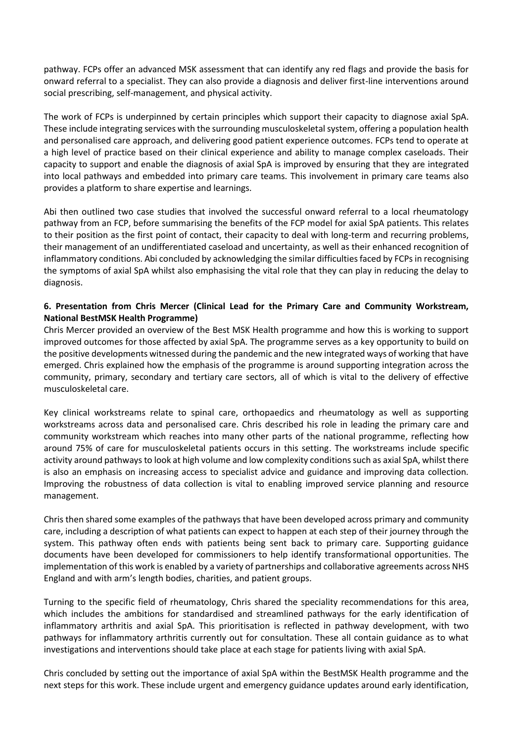pathway. FCPs offer an advanced MSK assessment that can identify any red flags and provide the basis for onward referral to a specialist. They can also provide a diagnosis and deliver first-line interventions around social prescribing, self-management, and physical activity.

The work of FCPs is underpinned by certain principles which support their capacity to diagnose axial SpA. These include integrating services with the surrounding musculoskeletalsystem, offering a population health and personalised care approach, and delivering good patient experience outcomes. FCPs tend to operate at a high level of practice based on their clinical experience and ability to manage complex caseloads. Their capacity to support and enable the diagnosis of axial SpA is improved by ensuring that they are integrated into local pathways and embedded into primary care teams. This involvement in primary care teams also provides a platform to share expertise and learnings.

Abi then outlined two case studies that involved the successful onward referral to a local rheumatology pathway from an FCP, before summarising the benefits of the FCP model for axial SpA patients. This relates to their position as the first point of contact, their capacity to deal with long-term and recurring problems, their management of an undifferentiated caseload and uncertainty, as well as their enhanced recognition of inflammatory conditions. Abi concluded by acknowledging the similar difficulties faced by FCPs in recognising the symptoms of axial SpA whilst also emphasising the vital role that they can play in reducing the delay to diagnosis.

## **6. Presentation from Chris Mercer (Clinical Lead for the Primary Care and Community Workstream, National BestMSK Health Programme)**

Chris Mercer provided an overview of the Best MSK Health programme and how this is working to support improved outcomes for those affected by axial SpA. The programme serves as a key opportunity to build on the positive developments witnessed during the pandemic and the new integrated ways of working that have emerged. Chris explained how the emphasis of the programme is around supporting integration across the community, primary, secondary and tertiary care sectors, all of which is vital to the delivery of effective musculoskeletal care.

Key clinical workstreams relate to spinal care, orthopaedics and rheumatology as well as supporting workstreams across data and personalised care. Chris described his role in leading the primary care and community workstream which reaches into many other parts of the national programme, reflecting how around 75% of care for musculoskeletal patients occurs in this setting. The workstreams include specific activity around pathways to look at high volume and low complexity conditions such as axial SpA, whilst there is also an emphasis on increasing access to specialist advice and guidance and improving data collection. Improving the robustness of data collection is vital to enabling improved service planning and resource management.

Chris then shared some examples of the pathways that have been developed across primary and community care, including a description of what patients can expect to happen at each step of their journey through the system. This pathway often ends with patients being sent back to primary care. Supporting guidance documents have been developed for commissioners to help identify transformational opportunities. The implementation of this work is enabled by a variety of partnerships and collaborative agreements across NHS England and with arm's length bodies, charities, and patient groups.

Turning to the specific field of rheumatology, Chris shared the speciality recommendations for this area, which includes the ambitions for standardised and streamlined pathways for the early identification of inflammatory arthritis and axial SpA. This prioritisation is reflected in pathway development, with two pathways for inflammatory arthritis currently out for consultation. These all contain guidance as to what investigations and interventions should take place at each stage for patients living with axial SpA.

Chris concluded by setting out the importance of axial SpA within the BestMSK Health programme and the next steps for this work. These include urgent and emergency guidance updates around early identification,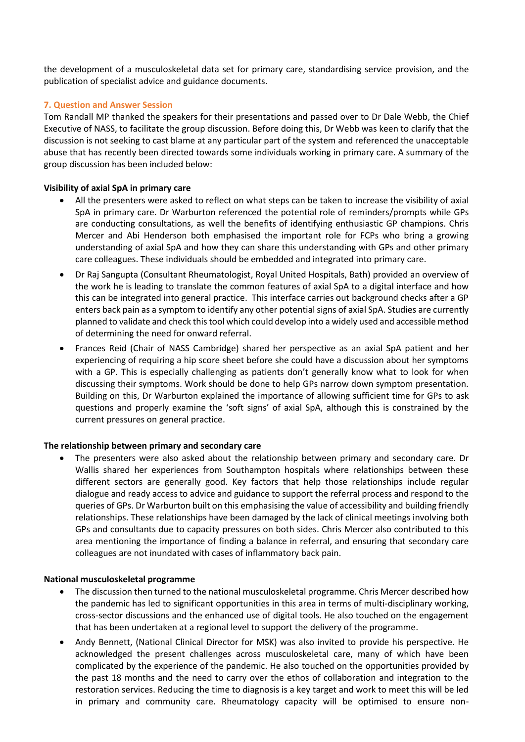the development of a musculoskeletal data set for primary care, standardising service provision, and the publication of specialist advice and guidance documents.

## **7. Question and Answer Session**

Tom Randall MP thanked the speakers for their presentations and passed over to Dr Dale Webb, the Chief Executive of NASS, to facilitate the group discussion. Before doing this, Dr Webb was keen to clarify that the discussion is not seeking to cast blame at any particular part of the system and referenced the unacceptable abuse that has recently been directed towards some individuals working in primary care. A summary of the group discussion has been included below:

### **Visibility of axial SpA in primary care**

- All the presenters were asked to reflect on what steps can be taken to increase the visibility of axial SpA in primary care. Dr Warburton referenced the potential role of reminders/prompts while GPs are conducting consultations, as well the benefits of identifying enthusiastic GP champions. Chris Mercer and Abi Henderson both emphasised the important role for FCPs who bring a growing understanding of axial SpA and how they can share this understanding with GPs and other primary care colleagues. These individuals should be embedded and integrated into primary care.
- Dr Raj Sangupta (Consultant Rheumatologist, Royal United Hospitals, Bath) provided an overview of the work he is leading to translate the common features of axial SpA to a digital interface and how this can be integrated into general practice. This interface carries out background checks after a GP enters back pain as a symptom to identify any other potential signs of axial SpA. Studies are currently planned to validate and check this tool which could develop into a widely used and accessible method of determining the need for onward referral.
- Frances Reid (Chair of NASS Cambridge) shared her perspective as an axial SpA patient and her experiencing of requiring a hip score sheet before she could have a discussion about her symptoms with a GP. This is especially challenging as patients don't generally know what to look for when discussing their symptoms. Work should be done to help GPs narrow down symptom presentation. Building on this, Dr Warburton explained the importance of allowing sufficient time for GPs to ask questions and properly examine the 'soft signs' of axial SpA, although this is constrained by the current pressures on general practice.

### **The relationship between primary and secondary care**

• The presenters were also asked about the relationship between primary and secondary care. Dr Wallis shared her experiences from Southampton hospitals where relationships between these different sectors are generally good. Key factors that help those relationships include regular dialogue and ready access to advice and guidance to support the referral process and respond to the queries of GPs. Dr Warburton built on this emphasising the value of accessibility and building friendly relationships. These relationships have been damaged by the lack of clinical meetings involving both GPs and consultants due to capacity pressures on both sides. Chris Mercer also contributed to this area mentioning the importance of finding a balance in referral, and ensuring that secondary care colleagues are not inundated with cases of inflammatory back pain.

### **National musculoskeletal programme**

- The discussion then turned to the national musculoskeletal programme. Chris Mercer described how the pandemic has led to significant opportunities in this area in terms of multi-disciplinary working, cross-sector discussions and the enhanced use of digital tools. He also touched on the engagement that has been undertaken at a regional level to support the delivery of the programme.
- Andy Bennett, (National Clinical Director for MSK) was also invited to provide his perspective. He acknowledged the present challenges across musculoskeletal care, many of which have been complicated by the experience of the pandemic. He also touched on the opportunities provided by the past 18 months and the need to carry over the ethos of collaboration and integration to the restoration services. Reducing the time to diagnosis is a key target and work to meet this will be led in primary and community care. Rheumatology capacity will be optimised to ensure non-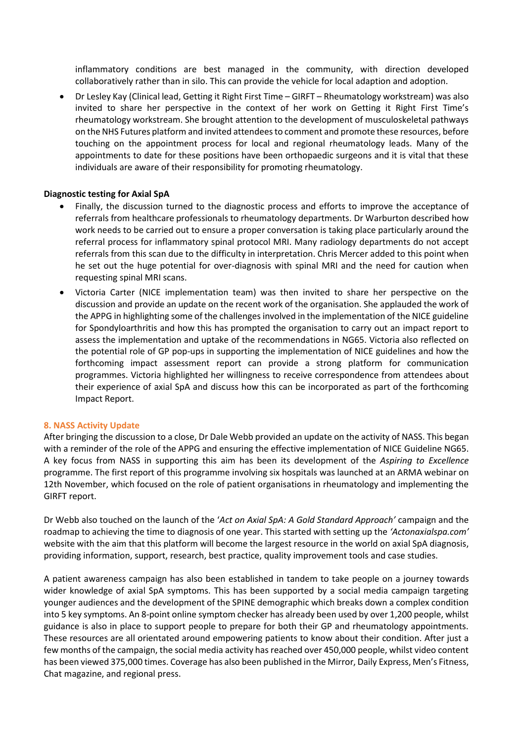inflammatory conditions are best managed in the community, with direction developed collaboratively rather than in silo. This can provide the vehicle for local adaption and adoption.

• Dr Lesley Kay (Clinical lead, Getting it Right First Time – GIRFT – Rheumatology workstream) was also invited to share her perspective in the context of her work on Getting it Right First Time's rheumatology workstream. She brought attention to the development of musculoskeletal pathways on the NHS Futures platform and invited attendees to comment and promote these resources, before touching on the appointment process for local and regional rheumatology leads. Many of the appointments to date for these positions have been orthopaedic surgeons and it is vital that these individuals are aware of their responsibility for promoting rheumatology.

## **Diagnostic testing for Axial SpA**

- Finally, the discussion turned to the diagnostic process and efforts to improve the acceptance of referrals from healthcare professionals to rheumatology departments. Dr Warburton described how work needs to be carried out to ensure a proper conversation is taking place particularly around the referral process for inflammatory spinal protocol MRI. Many radiology departments do not accept referrals from this scan due to the difficulty in interpretation. Chris Mercer added to this point when he set out the huge potential for over-diagnosis with spinal MRI and the need for caution when requesting spinal MRI scans.
- Victoria Carter (NICE implementation team) was then invited to share her perspective on the discussion and provide an update on the recent work of the organisation. She applauded the work of the APPG in highlighting some of the challenges involved in the implementation of the NICE guideline for Spondyloarthritis and how this has prompted the organisation to carry out an impact report to assess the implementation and uptake of the recommendations in NG65. Victoria also reflected on the potential role of GP pop-ups in supporting the implementation of NICE guidelines and how the forthcoming impact assessment report can provide a strong platform for communication programmes. Victoria highlighted her willingness to receive correspondence from attendees about their experience of axial SpA and discuss how this can be incorporated as part of the forthcoming Impact Report.

### **8. NASS Activity Update**

After bringing the discussion to a close, Dr Dale Webb provided an update on the activity of NASS. This began with a reminder of the role of the APPG and ensuring the effective implementation of NICE Guideline NG65. A key focus from NASS in supporting this aim has been its development of the *Aspiring to Excellence* programme. The first report of this programme involving six hospitals was launched at an ARMA webinar on 12th November, which focused on the role of patient organisations in rheumatology and implementing the GIRFT report.

Dr Webb also touched on the launch of the '*Act on Axial SpA: A Gold Standard Approach'* campaign and the roadmap to achieving the time to diagnosis of one year. This started with setting up the *'Actonaxialspa.com'* website with the aim that this platform will become the largest resource in the world on axial SpA diagnosis, providing information, support, research, best practice, quality improvement tools and case studies.

A patient awareness campaign has also been established in tandem to take people on a journey towards wider knowledge of axial SpA symptoms. This has been supported by a social media campaign targeting younger audiences and the development of the SPINE demographic which breaks down a complex condition into 5 key symptoms. An 8-point online symptom checker has already been used by over 1,200 people, whilst guidance is also in place to support people to prepare for both their GP and rheumatology appointments. These resources are all orientated around empowering patients to know about their condition. After just a few months of the campaign, the social media activity has reached over 450,000 people, whilst video content has been viewed 375,000 times. Coverage has also been published in the Mirror, Daily Express, Men's Fitness, Chat magazine, and regional press.